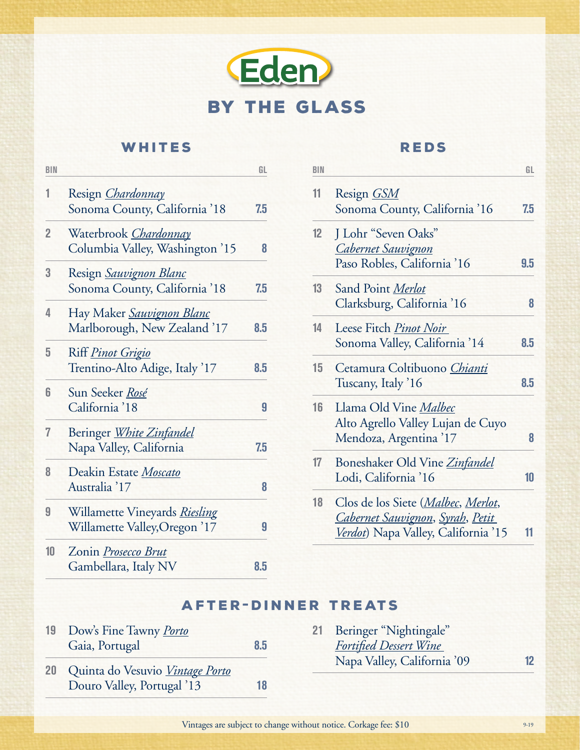

## WHITES

| <b>BIN</b>     |                                                           | GL  |
|----------------|-----------------------------------------------------------|-----|
| 1              | Resign <i>Chardonnay</i><br>Sonoma County, California '18 | 7.5 |
|                |                                                           |     |
| $\overline{2}$ | Waterbrook Chardonnay                                     |     |
|                | Columbia Valley, Washington '15                           | 8   |
| 3              | Resign Sauvignon Blanc                                    |     |
|                | Sonoma County, California '18                             | 7.5 |
| 4              | Hay Maker Sauvignon Blanc                                 |     |
|                | Marlborough, New Zealand '17                              | 8.5 |
| 5              | Riff <i>Pinot Grigio</i>                                  |     |
|                | Trentino-Alto Adige, Italy '17                            | 8.5 |
| 6              | Sun Seeker Rosé                                           |     |
|                | California '18                                            | 9   |
| 7              | Beringer White Zinfandel                                  |     |
|                | Napa Valley, California                                   | 7.5 |
| 8              | Deakin Estate Moscato                                     |     |
|                | Australia '17                                             | 8   |
| 9              | Willamette Vineyards Riesling                             |     |
|                | Willamette Valley, Oregon '17                             | 9   |
| 10             | Zonin Prosecco Brut                                       |     |
|                | Gambellara, Italy NV                                      | 8.5 |
|                |                                                           |     |

### Reds

| BIN |                                                                                                                                        | GL  |
|-----|----------------------------------------------------------------------------------------------------------------------------------------|-----|
| 11  | Resign <i>GSM</i><br>Sonoma County, California '16                                                                                     | 7.5 |
| 12  | J Lohr "Seven Oaks"<br><u>Cabernet Sauvignon</u><br>Paso Robles, California '16                                                        | 9.5 |
| 13  | Sand Point Merlot<br>Clarksburg, California '16                                                                                        | 8   |
| 14  | Leese Fitch Pinot Noir<br>Sonoma Valley, California '14                                                                                | 8.5 |
| 15  | Cetamura Coltibuono Chianti<br>Tuscany, Italy '16                                                                                      | 8.5 |
| 16  | Llama Old Vine Malbec<br>Alto Agrello Valley Lujan de Cuyo<br>Mendoza, Argentina '17                                                   | 8   |
| 17  | Boneshaker Old Vine Zinfandel<br>Lodi, California '16                                                                                  | 10  |
| 18  | Clos de los Siete ( <i>Malbec</i> , <i>Merlot</i> ,<br><u> Cabernet Sauvignon, Syrah, Petit</u><br>Verdot) Napa Valley, California '15 | 11  |
|     |                                                                                                                                        |     |

# **AFTER-DINNER TREATS**

| 19 | Dow's Fine Tawny Porto<br>Gaia, Portugal                         | 8.5 |
|----|------------------------------------------------------------------|-----|
|    | 20 Quinta do Vesuvio Vintage Porto<br>Douro Valley, Portugal '13 | 18  |

**21** Beringer "Nightingale" *Fortified Dessert Wine*  Napa Valley, California '09 **12**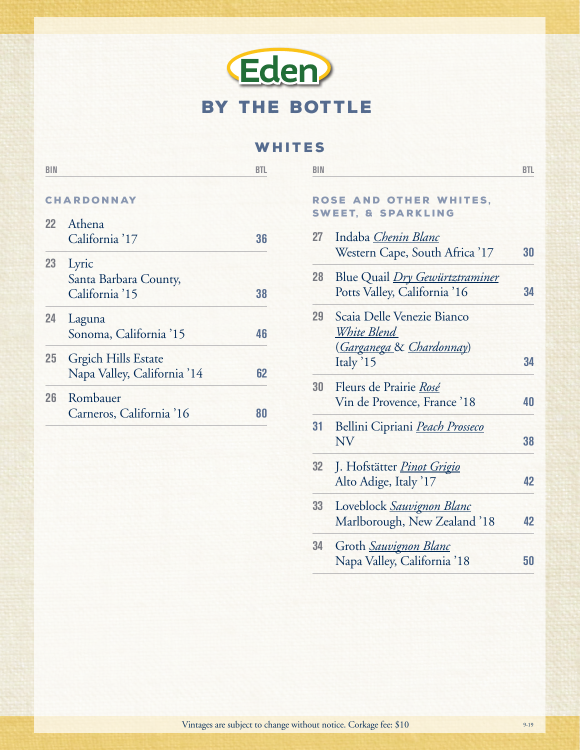# Eden By the bottle

#### WHITES

| <b>BIN</b> |                                                           | <b>BTL</b> | <b>BIN</b>                                                                  | <b>BTL</b> |
|------------|-----------------------------------------------------------|------------|-----------------------------------------------------------------------------|------------|
|            | <b>CHARDONNAY</b>                                         |            | ROSE AND OTHER WHITES,<br><b>SWEET, &amp; SPARKLING</b>                     |            |
| 22         | Athena                                                    |            |                                                                             |            |
|            | California '17                                            | 36         | Indaba Chenin Blanc<br>27<br>Western Cape, South Africa '17                 | 30         |
| 23         | Lyric                                                     |            |                                                                             |            |
|            | Santa Barbara County,<br>California '15                   | 38         | 28<br>Blue Quail <i>Dry Gewürtztraminer</i><br>Potts Valley, California '16 | 34         |
| 24         | Laguna                                                    |            | Scaia Delle Venezie Bianco<br>29                                            |            |
|            | Sonoma, California '15                                    | 46         | White Blend<br>(Garganega & Chardonnay)                                     |            |
| 25         | <b>Grgich Hills Estate</b><br>Napa Valley, California '14 | 62         | Italy '15                                                                   | 34         |
| 26         | Rombauer                                                  |            | 30<br>Fleurs de Prairie Rosé<br>Vin de Provence, France '18                 | 40         |
|            | Carneros, California '16                                  | 80         | 31<br>Bellini Cipriani Peach Prosseco<br><b>NV</b>                          | 38         |

**32** J. Hofstätter *Pinot Grigio*

**33** Loveblock *Sauvignon Blanc*

**34** Groth *Sauvignon Blanc*

Alto Adige, Italy '17 **42**

Marlborough, New Zealand '18 **42**

Napa Valley, California '18 **50**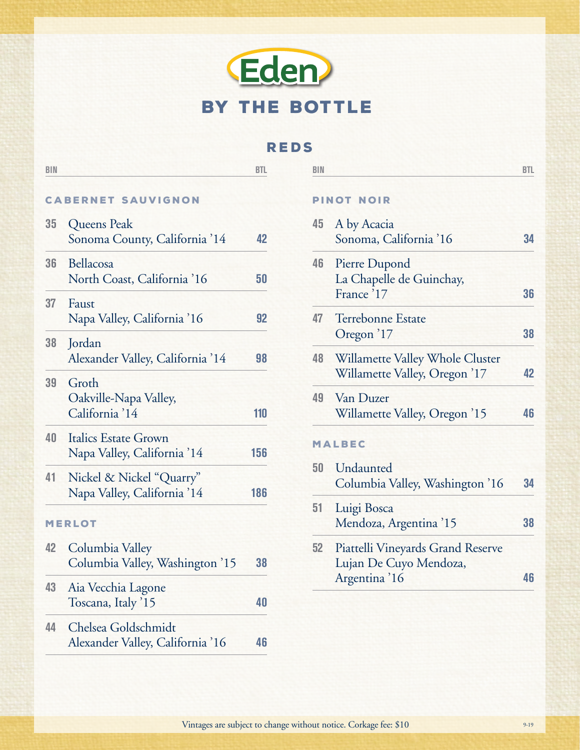

### Reds

| <b>BIN</b> |                                                            | <b>BTL</b> | <b>BIN</b> |                                                                             | <b>BTL</b> |
|------------|------------------------------------------------------------|------------|------------|-----------------------------------------------------------------------------|------------|
|            | <b>CABERNET SAUVIGNON</b>                                  |            |            | <b>PINOT NOIR</b>                                                           |            |
| 35         | Queens Peak<br>Sonoma County, California '14               | 42         | 45         | A by Acacia<br>Sonoma, California '16                                       | 34         |
| 36         | Bellacosa<br>North Coast, California '16                   | 50         | 46         | Pierre Dupond<br>La Chapelle de Guinchay,<br>France '17                     | 36         |
| 37         | Faust<br>Napa Valley, California '16                       | 92         | 47         | Terrebonne Estate                                                           |            |
| 38         | Jordan<br>Alexander Valley, California '14                 | 98         | 48         | Oregon '17<br>Willamette Valley Whole Cluster                               | 38         |
| 39         | Groth<br>Oakville-Napa Valley,<br>California '14           | 110        | 49         | Willamette Valley, Oregon '17<br>Van Duzer<br>Willamette Valley, Oregon '15 | 42<br>46   |
| 40         | <b>Italics Estate Grown</b><br>Napa Valley, California '14 | 156        |            | <b>MALBEC</b>                                                               |            |
| 41         | Nickel & Nickel "Quarry"<br>Napa Valley, California '14    | 186        | 50         | Undaunted<br>Columbia Valley, Washington '16                                | 34         |
|            | <b>MERLOT</b>                                              |            | 51         | Luigi Bosca<br>Mendoza, Argentina '15                                       | 38         |
| 42         | Columbia Valley<br>Columbia Valley, Washington '15         | 38         | 52         | Piattelli Vineyards Grand Reserve<br>Lujan De Cuyo Mendoza,                 |            |
| 43         | Aia Vecchia Lagone<br>Toscana, Italy '15                   | 40         |            | Argentina '16                                                               | 46         |
| 44         | Chelsea Goldschmidt<br>Alexander Valley, California '16    | 46         |            |                                                                             |            |